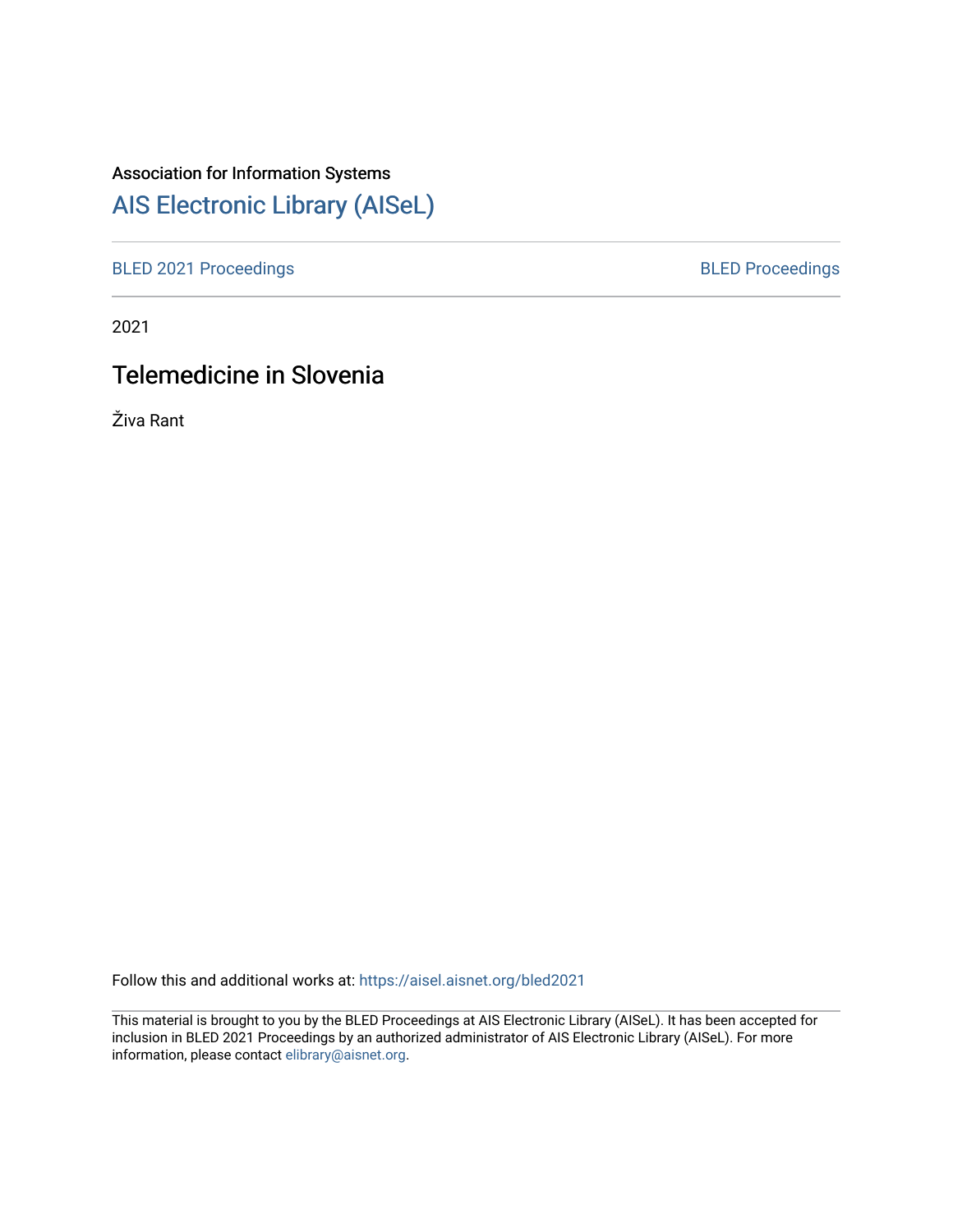## Association for Information Systems

# [AIS Electronic Library \(AISeL\)](https://aisel.aisnet.org/)

[BLED 2021 Proceedings](https://aisel.aisnet.org/bled2021) **BLED Proceedings** 

2021

# Telemedicine in Slovenia

Živa Rant

Follow this and additional works at: [https://aisel.aisnet.org/bled2021](https://aisel.aisnet.org/bled2021?utm_source=aisel.aisnet.org%2Fbled2021%2F12&utm_medium=PDF&utm_campaign=PDFCoverPages) 

This material is brought to you by the BLED Proceedings at AIS Electronic Library (AISeL). It has been accepted for inclusion in BLED 2021 Proceedings by an authorized administrator of AIS Electronic Library (AISeL). For more information, please contact [elibrary@aisnet.org.](mailto:elibrary@aisnet.org%3E)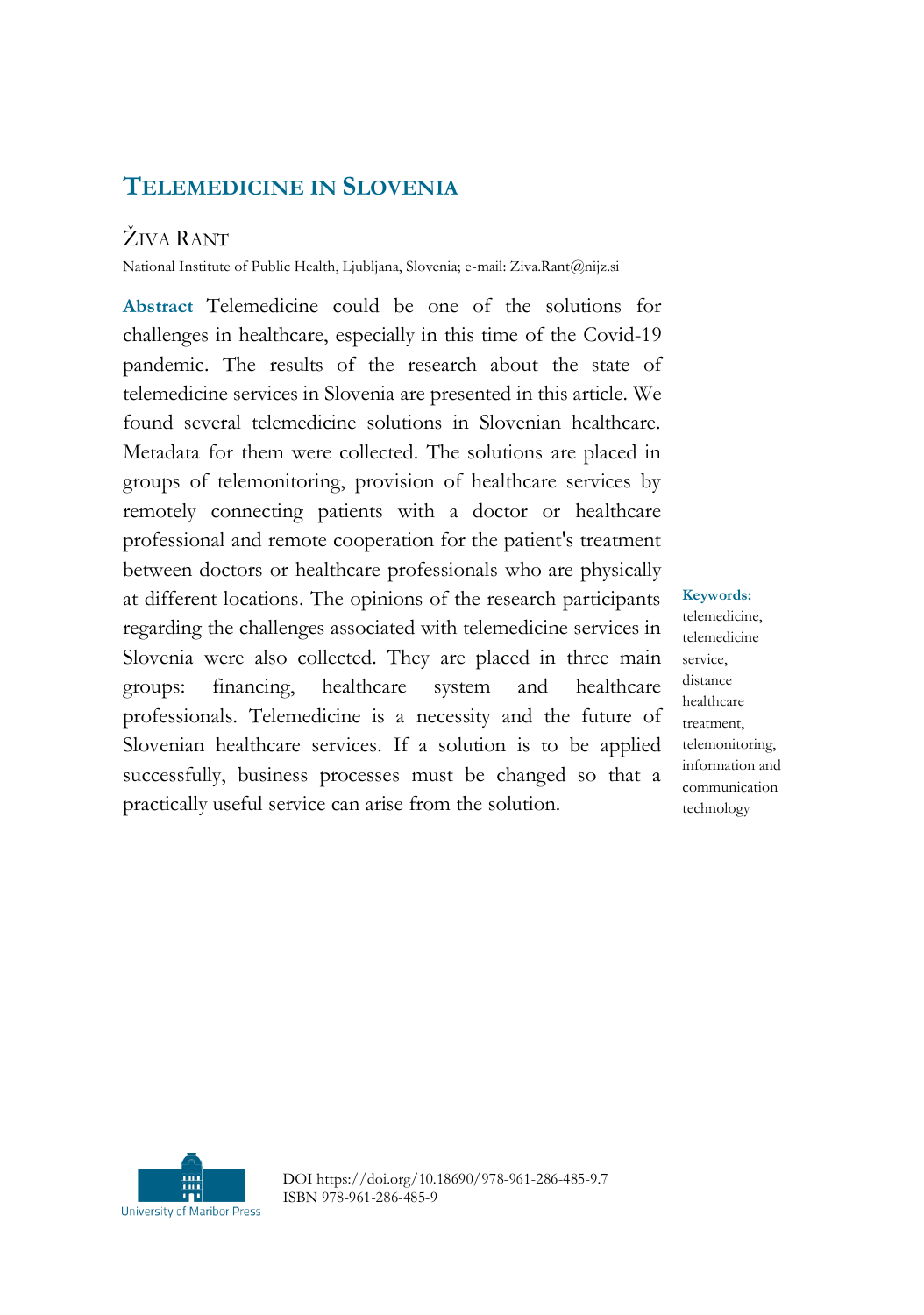### **TELEMEDICINE IN SLOVENIA**

## ŽIVA RANT

National Institute of Public Health, Ljubljana, Slovenia; e-mail: Ziva.Rant@nijz.si

**Abstract** Telemedicine could be one of the solutions for challenges in healthcare, especially in this time of the Covid-19 pandemic. The results of the research about the state of telemedicine services in Slovenia are presented in this article. We found several telemedicine solutions in Slovenian healthcare. Metadata for them were collected. The solutions are placed in groups of telemonitoring, provision of healthcare services by remotely connecting patients with a doctor or healthcare professional and remote cooperation for the patient's treatment between doctors or healthcare professionals who are physically at different locations. The opinions of the research participants regarding the challenges associated with telemedicine services in Slovenia were also collected. They are placed in three main groups: financing, healthcare system and healthcare professionals. Telemedicine is a necessity and the future of Slovenian healthcare services. If a solution is to be applied successfully, business processes must be changed so that a practically useful service can arise from the solution.

**Keywords:** telemedicine, telemedicine service, distance healthcare treatment, telemonitoring, information and communication technology



DOI https://doi.org/10.18690/978-961-286-485-9.7 ISBN 978-961-286-485-9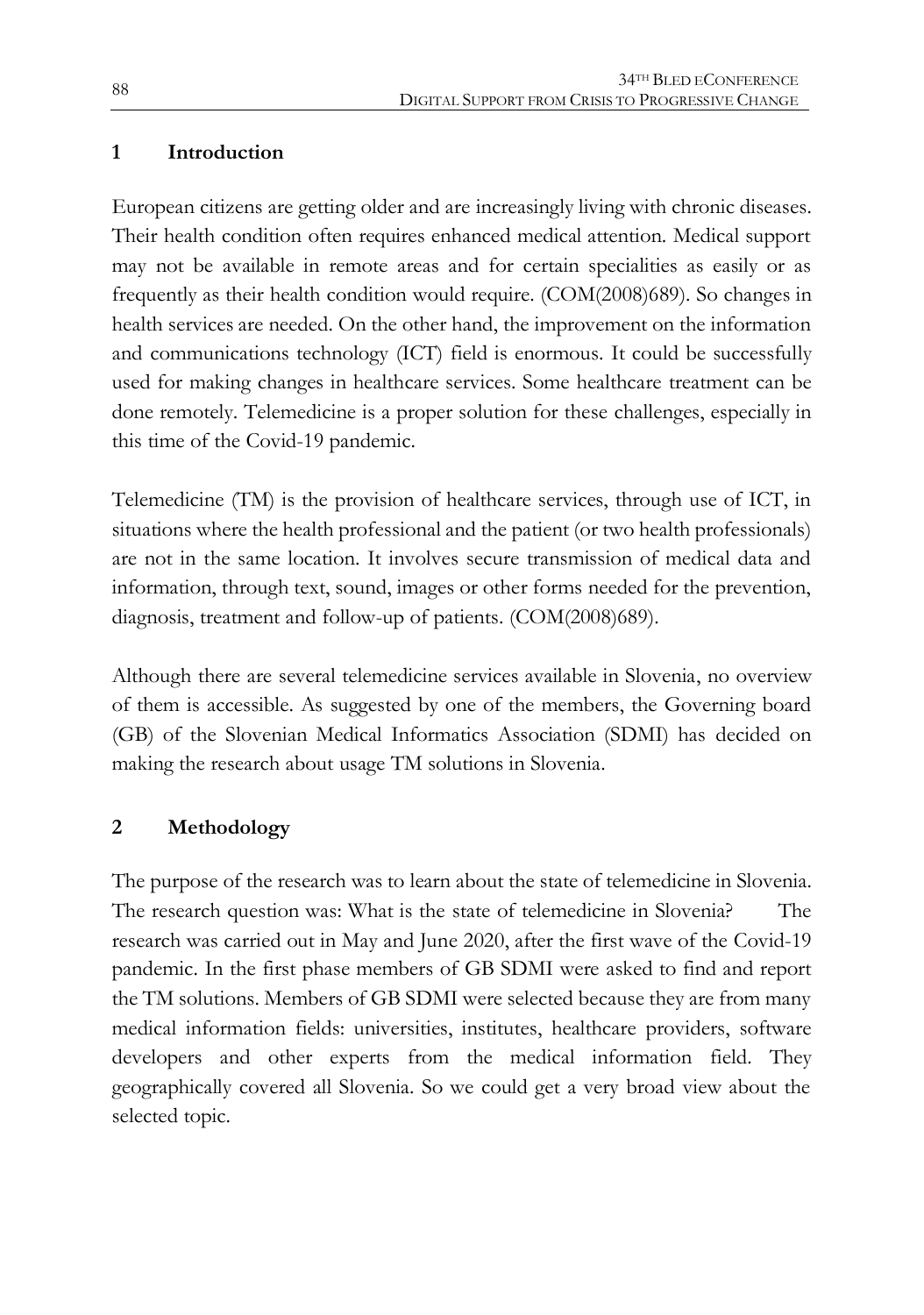#### **1 Introduction**

European citizens are getting older and are increasingly living with chronic diseases. Their health condition often requires enhanced medical attention. Medical support may not be available in remote areas and for certain specialities as easily or as frequently as their health condition would require. (COM(2008)689). So changes in health services are needed. On the other hand, the improvement on the information and communications technology (ICT) field is enormous. It could be successfully used for making changes in healthcare services. Some healthcare treatment can be done remotely. Telemedicine is a proper solution for these challenges, especially in this time of the Covid-19 pandemic.

Telemedicine (TM) is the provision of healthcare services, through use of ICT, in situations where the health professional and the patient (or two health professionals) are not in the same location. It involves secure transmission of medical data and information, through text, sound, images or other forms needed for the prevention, diagnosis, treatment and follow-up of patients. (COM(2008)689).

Although there are several telemedicine services available in Slovenia, no overview of them is accessible. As suggested by one of the members, the Governing board (GB) of the Slovenian Medical Informatics Association (SDMI) has decided on making the research about usage TM solutions in Slovenia.

#### **2 Methodology**

The purpose of the research was to learn about the state of telemedicine in Slovenia. The research question was: What is the state of telemedicine in Slovenia? The research was carried out in May and June 2020, after the first wave of the Covid-19 pandemic. In the first phase members of GB SDMI were asked to find and report the TM solutions. Members of GB SDMI were selected because they are from many medical information fields: universities, institutes, healthcare providers, software developers and other experts from the medical information field. They geographically covered all Slovenia. So we could get a very broad view about the selected topic.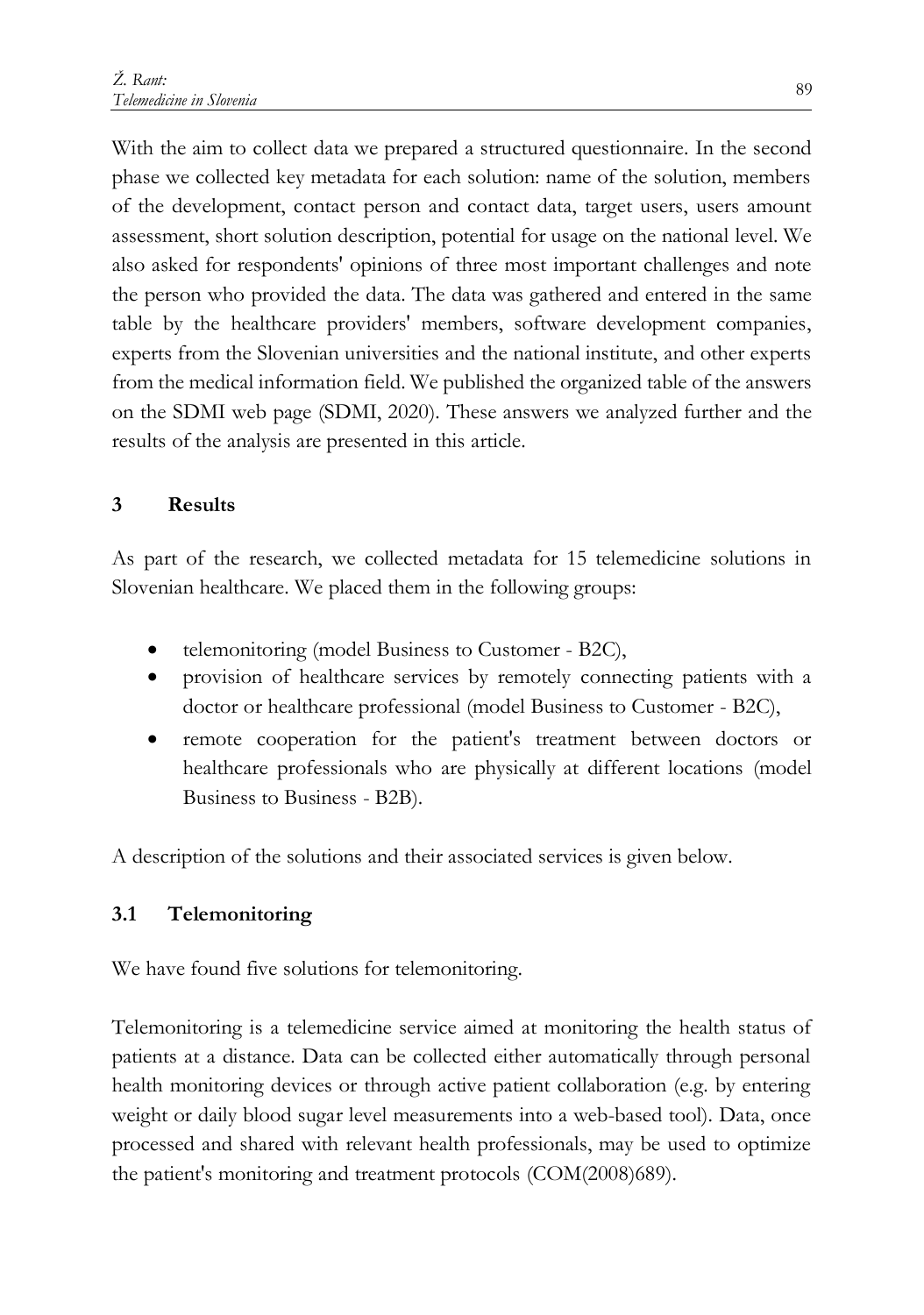With the aim to collect data we prepared a structured questionnaire. In the second phase we collected key metadata for each solution: name of the solution, members of the development, contact person and contact data, target users, users amount assessment, short solution description, potential for usage on the national level. We also asked for respondents' opinions of three most important challenges and note the person who provided the data. The data was gathered and entered in the same table by the healthcare providers' members, software development companies, experts from the Slovenian universities and the national institute, and other experts from the medical information field. We published the organized table of the answers on the SDMI web page (SDMI, 2020). These answers we analyzed further and the results of the analysis are presented in this article.

#### **3 Results**

As part of the research, we collected metadata for 15 telemedicine solutions in Slovenian healthcare. We placed them in the following groups:

- telemonitoring (model Business to Customer B2C),
- provision of healthcare services by remotely connecting patients with a doctor or healthcare professional (model Business to Customer - B2C),
- remote cooperation for the patient's treatment between doctors or healthcare professionals who are physically at different locations (model Business to Business - B2B).

A description of the solutions and their associated services is given below.

### **3.1 Telemonitoring**

We have found five solutions for telemonitoring.

Telemonitoring is a telemedicine service aimed at monitoring the health status of patients at a distance. Data can be collected either automatically through personal health monitoring devices or through active patient collaboration (e.g. by entering weight or daily blood sugar level measurements into a web-based tool). Data, once processed and shared with relevant health professionals, may be used to optimize the patient's monitoring and treatment protocols (COM(2008)689).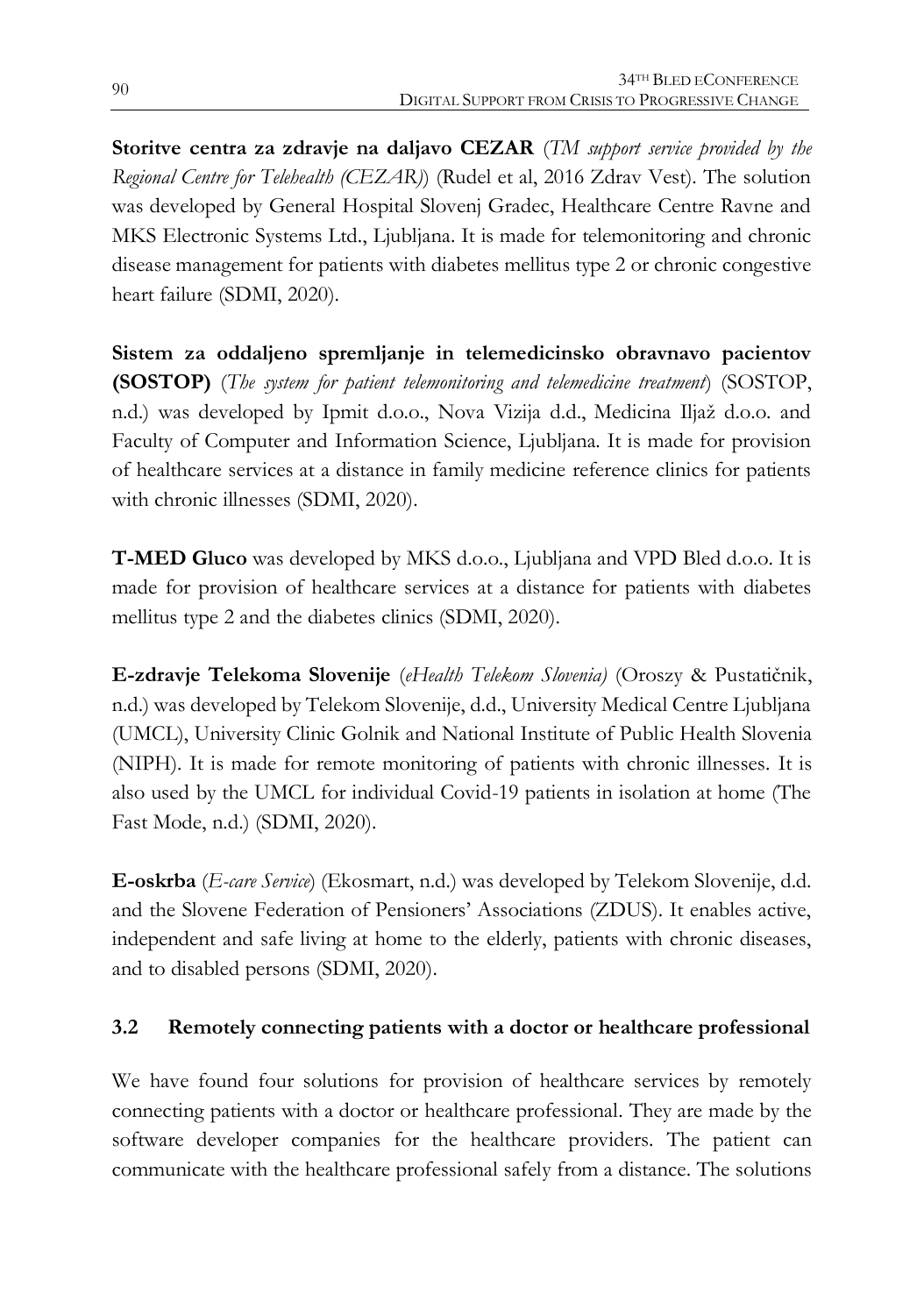**Storitve centra za zdravje na daljavo CEZAR** (*TM support service provided by the Regional Centre for Telehealth (CEZAR)*) (Rudel et al, 2016 Zdrav Vest). The solution was developed by General Hospital Slovenj Gradec, Healthcare Centre Ravne and MKS Electronic Systems Ltd., Ljubljana. It is made for telemonitoring and chronic disease management for patients with diabetes mellitus type 2 or chronic congestive heart failure (SDMI, 2020).

**Sistem za oddaljeno spremljanje in telemedicinsko obravnavo pacientov (SOSTOP)** (*The system for patient telemonitoring and telemedicine treatment*) (SOSTOP, n.d.) was developed by Ipmit d.o.o., Nova Vizija d.d., Medicina Iljaž d.o.o. and Faculty of Computer and Information Science, Ljubljana. It is made for provision of healthcare services at a distance in family medicine reference clinics for patients with chronic illnesses (SDMI, 2020).

**T-MED Gluco** was developed by MKS d.o.o., Ljubljana and VPD Bled d.o.o. It is made for provision of healthcare services at a distance for patients with diabetes mellitus type 2 and the diabetes clinics (SDMI, 2020).

**E-zdravje Telekoma Slovenije** (*eHealth Telekom Slovenia)* (Oroszy & Pustatičnik, n.d.) was developed by Telekom Slovenije, d.d., University Medical Centre Ljubljana (UMCL), University Clinic Golnik and National Institute of Public Health Slovenia (NIPH). It is made for remote monitoring of patients with chronic illnesses. It is also used by the UMCL for individual Covid-19 patients in isolation at home (The Fast Mode, n.d.) (SDMI, 2020).

**E-oskrba** (*E-care Service*) (Ekosmart, n.d.) was developed by Telekom Slovenije, d.d. and the Slovene Federation of Pensioners' Associations (ZDUS). It enables active, independent and safe living at home to the elderly, patients with chronic diseases, and to disabled persons (SDMI, 2020).

#### **3.2 Remotely connecting patients with a doctor or healthcare professional**

We have found four solutions for provision of healthcare services by remotely connecting patients with a doctor or healthcare professional. They are made by the software developer companies for the healthcare providers. The patient can communicate with the healthcare professional safely from a distance. The solutions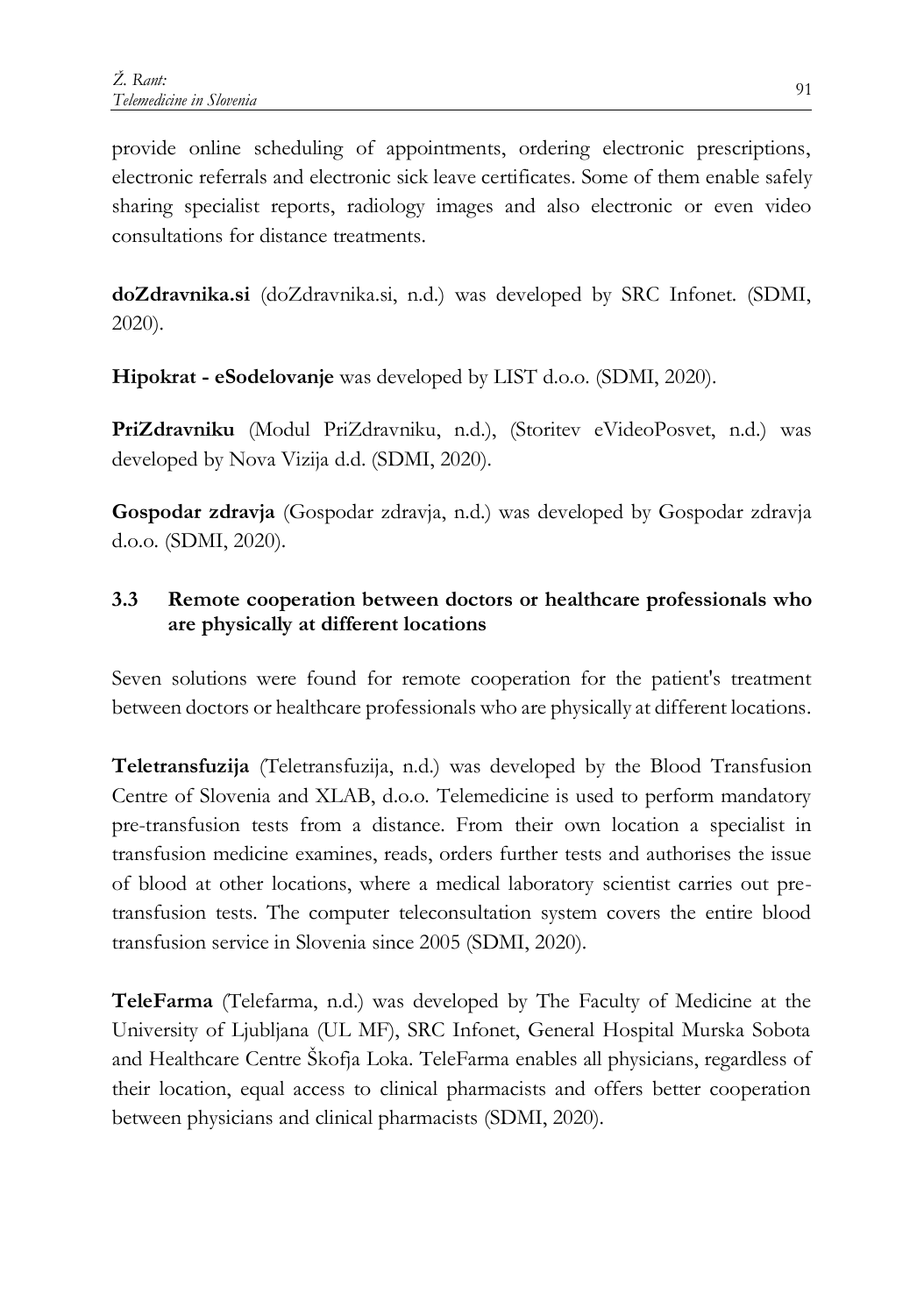provide online scheduling of appointments, ordering electronic prescriptions, electronic referrals and electronic sick leave certificates. Some of them enable safely sharing specialist reports, radiology images and also electronic or even video consultations for distance treatments.

**doZdravnika.si** (doZdravnika.si, n.d.) was developed by SRC Infonet. (SDMI, 2020).

**Hipokrat - eSodelovanje** was developed by LIST d.o.o. (SDMI, 2020).

**PriZdravniku** (Modul PriZdravniku, n.d.), (Storitev eVideoPosvet, n.d.) was developed by Nova Vizija d.d. (SDMI, 2020).

**Gospodar zdravja** (Gospodar zdravja, n.d.) was developed by Gospodar zdravja d.o.o. (SDMI, 2020).

#### **3.3 Remote cooperation between doctors or healthcare professionals who are physically at different locations**

Seven solutions were found for remote cooperation for the patient's treatment between doctors or healthcare professionals who are physically at different locations.

**Teletransfuzija** (Teletransfuzija, n.d.) was developed by the Blood Transfusion Centre of Slovenia and XLAB, d.o.o. Telemedicine is used to perform mandatory pre-transfusion tests from a distance. From their own location a specialist in transfusion medicine examines, reads, orders further tests and authorises the issue of blood at other locations, where a medical laboratory scientist carries out pretransfusion tests. The computer teleconsultation system covers the entire blood transfusion service in Slovenia since 2005 (SDMI, 2020).

**TeleFarma** (Telefarma, n.d.) was developed by The Faculty of Medicine at the University of Ljubljana (UL MF), SRC Infonet, General Hospital Murska Sobota and Healthcare Centre Škofja Loka. TeleFarma enables all physicians, regardless of their location, equal access to clinical pharmacists and offers better cooperation between physicians and clinical pharmacists (SDMI, 2020).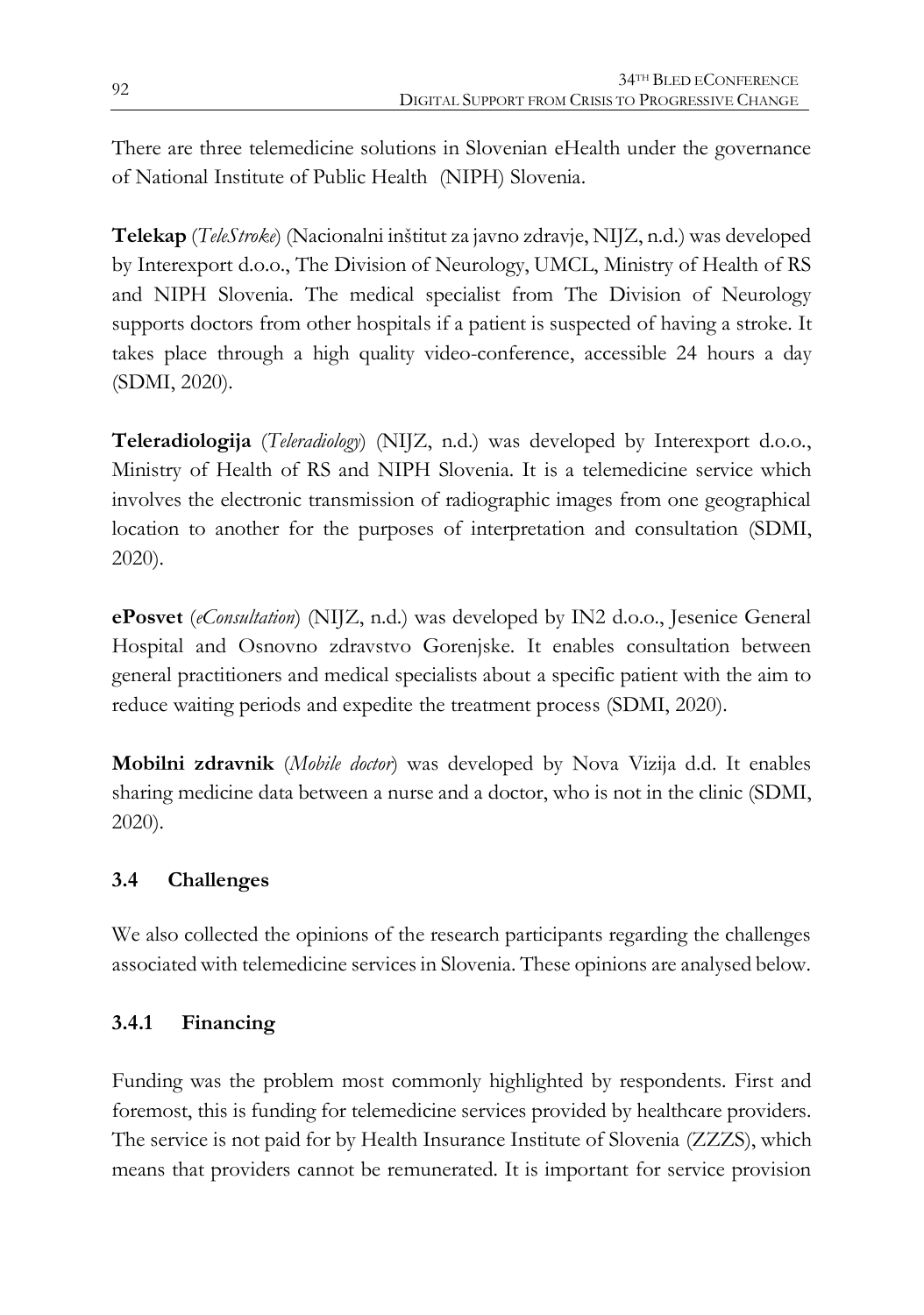There are three telemedicine solutions in Slovenian eHealth under the governance of National Institute of Public Health (NIPH) Slovenia.

**Telekap** (*TeleStroke*) (Nacionalni inštitut za javno zdravje, NIJZ, n.d.) was developed by Interexport d.o.o., The Division of Neurology, UMCL, Ministry of Health of RS and NIPH Slovenia. The medical specialist from The Division of Neurology supports doctors from other hospitals if a patient is suspected of having a stroke. It takes place through a high quality video-conference, accessible 24 hours a day (SDMI, 2020).

**Teleradiologija** (*Teleradiology*) (NIJZ, n.d.) was developed by Interexport d.o.o., Ministry of Health of RS and NIPH Slovenia. It is a telemedicine service which involves the electronic transmission of radiographic images from one geographical location to another for the purposes of interpretation and consultation (SDMI, 2020).

**ePosvet** (*eConsultation*) (NIJZ, n.d.) was developed by IN2 d.o.o., Jesenice General Hospital and Osnovno zdravstvo Gorenjske. It enables consultation between general practitioners and medical specialists about a specific patient with the aim to reduce waiting periods and expedite the treatment process (SDMI, 2020).

**Mobilni zdravnik** (*Mobile doctor*) was developed by Nova Vizija d.d. It enables sharing medicine data between a nurse and a doctor, who is not in the clinic (SDMI, 2020).

### **3.4 Challenges**

We also collected the opinions of the research participants regarding the challenges associated with telemedicine services in Slovenia. These opinions are analysed below.

### **3.4.1 Financing**

Funding was the problem most commonly highlighted by respondents. First and foremost, this is funding for telemedicine services provided by healthcare providers. The service is not paid for by Health Insurance Institute of Slovenia (ZZZS), which means that providers cannot be remunerated. It is important for service provision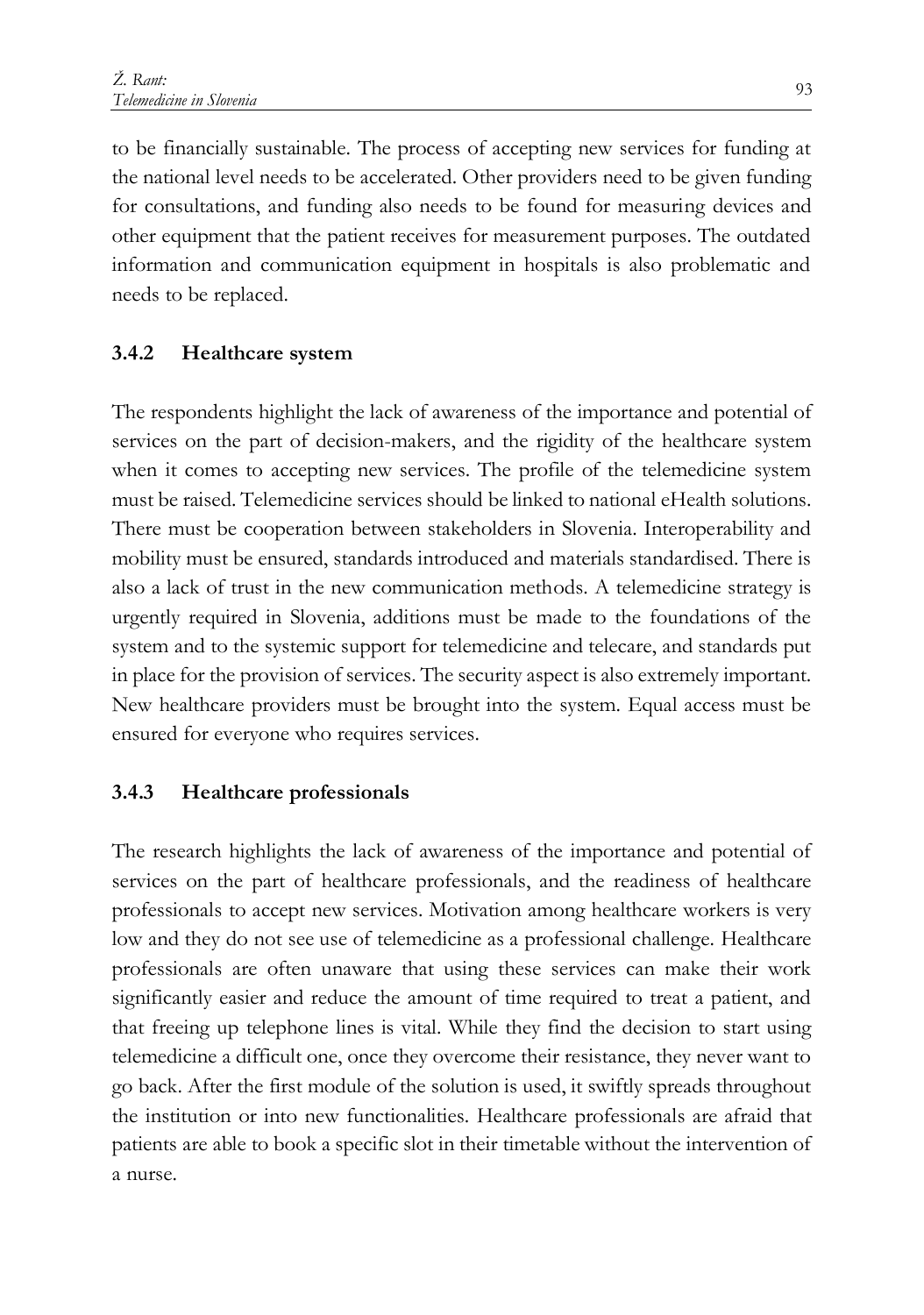to be financially sustainable. The process of accepting new services for funding at the national level needs to be accelerated. Other providers need to be given funding for consultations, and funding also needs to be found for measuring devices and other equipment that the patient receives for measurement purposes. The outdated information and communication equipment in hospitals is also problematic and needs to be replaced.

#### **3.4.2 Healthcare system**

The respondents highlight the lack of awareness of the importance and potential of services on the part of decision-makers, and the rigidity of the healthcare system when it comes to accepting new services. The profile of the telemedicine system must be raised. Telemedicine services should be linked to national eHealth solutions. There must be cooperation between stakeholders in Slovenia. Interoperability and mobility must be ensured, standards introduced and materials standardised. There is also a lack of trust in the new communication methods. A telemedicine strategy is urgently required in Slovenia, additions must be made to the foundations of the system and to the systemic support for telemedicine and telecare, and standards put in place for the provision of services. The security aspect is also extremely important. New healthcare providers must be brought into the system. Equal access must be ensured for everyone who requires services.

#### **3.4.3 Healthcare professionals**

The research highlights the lack of awareness of the importance and potential of services on the part of healthcare professionals, and the readiness of healthcare professionals to accept new services. Motivation among healthcare workers is very low and they do not see use of telemedicine as a professional challenge. Healthcare professionals are often unaware that using these services can make their work significantly easier and reduce the amount of time required to treat a patient, and that freeing up telephone lines is vital. While they find the decision to start using telemedicine a difficult one, once they overcome their resistance, they never want to go back. After the first module of the solution is used, it swiftly spreads throughout the institution or into new functionalities. Healthcare professionals are afraid that patients are able to book a specific slot in their timetable without the intervention of a nurse.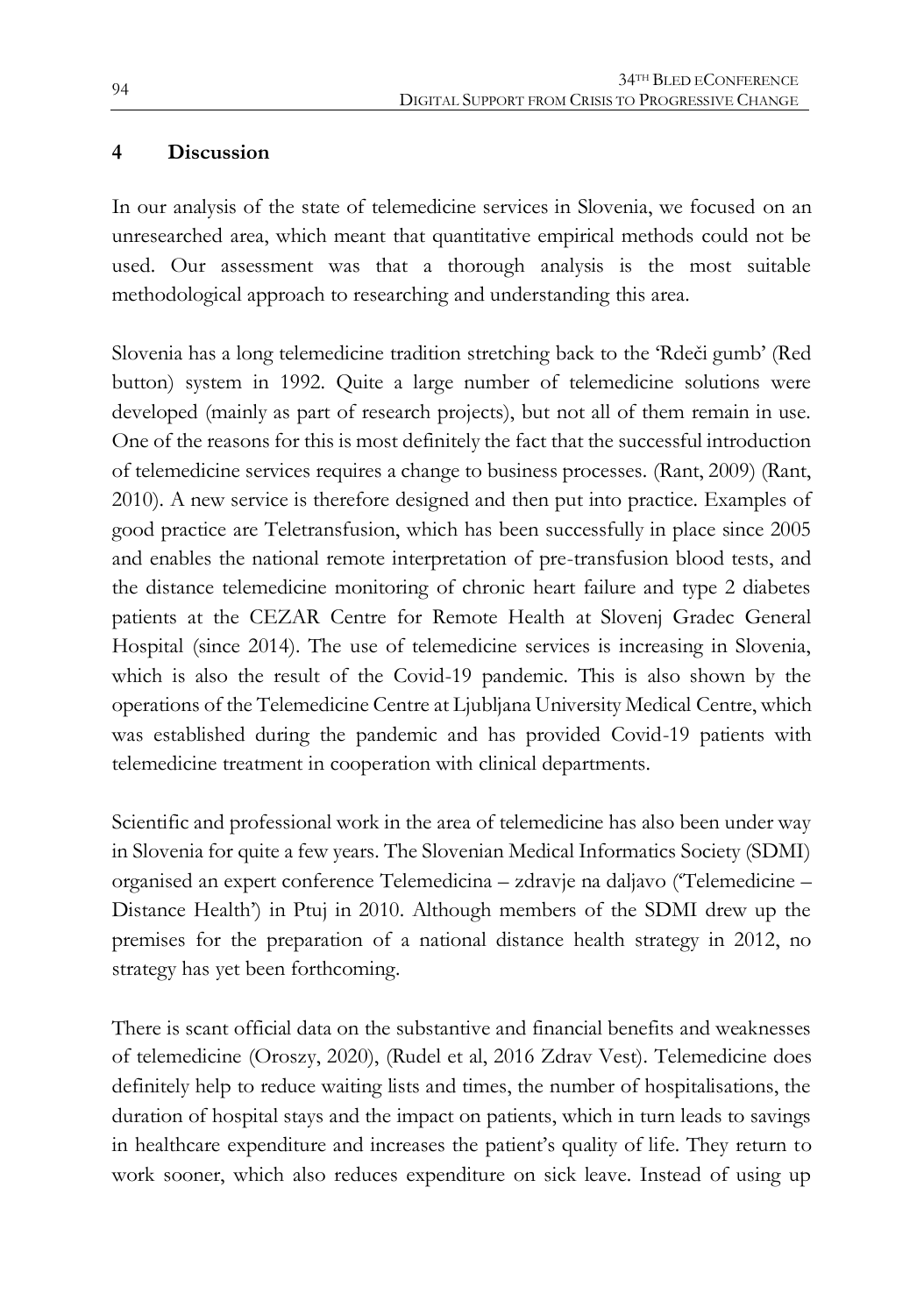#### **4 Discussion**

In our analysis of the state of telemedicine services in Slovenia, we focused on an unresearched area, which meant that quantitative empirical methods could not be used. Our assessment was that a thorough analysis is the most suitable methodological approach to researching and understanding this area.

Slovenia has a long telemedicine tradition stretching back to the 'Rdeči gumb' (Red button) system in 1992. Quite a large number of telemedicine solutions were developed (mainly as part of research projects), but not all of them remain in use. One of the reasons for this is most definitely the fact that the successful introduction of telemedicine services requires a change to business processes. (Rant, 2009) (Rant, 2010). A new service is therefore designed and then put into practice. Examples of good practice are Teletransfusion, which has been successfully in place since 2005 and enables the national remote interpretation of pre-transfusion blood tests, and the distance telemedicine monitoring of chronic heart failure and type 2 diabetes patients at the CEZAR Centre for Remote Health at Slovenj Gradec General Hospital (since 2014). The use of telemedicine services is increasing in Slovenia, which is also the result of the Covid-19 pandemic. This is also shown by the operations of the Telemedicine Centre at Ljubljana University Medical Centre, which was established during the pandemic and has provided Covid-19 patients with telemedicine treatment in cooperation with clinical departments.

Scientific and professional work in the area of telemedicine has also been under way in Slovenia for quite a few years. The Slovenian Medical Informatics Society (SDMI) organised an expert conference Telemedicina – zdravje na daljavo ('Telemedicine – Distance Health') in Ptuj in 2010. Although members of the SDMI drew up the premises for the preparation of a national distance health strategy in 2012, no strategy has yet been forthcoming.

There is scant official data on the substantive and financial benefits and weaknesses of telemedicine (Oroszy, 2020), (Rudel et al, 2016 Zdrav Vest). Telemedicine does definitely help to reduce waiting lists and times, the number of hospitalisations, the duration of hospital stays and the impact on patients, which in turn leads to savings in healthcare expenditure and increases the patient's quality of life. They return to work sooner, which also reduces expenditure on sick leave. Instead of using up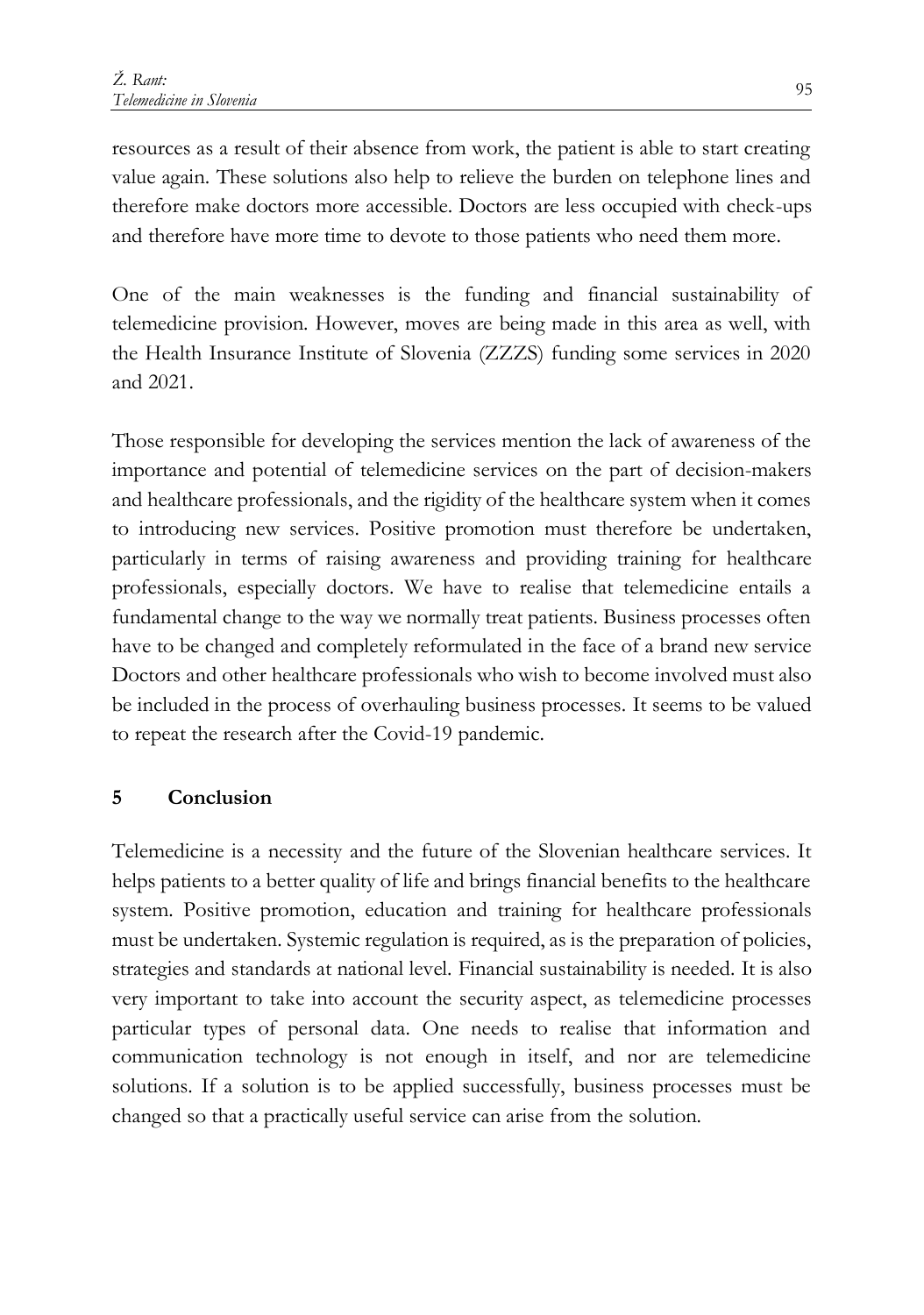resources as a result of their absence from work, the patient is able to start creating value again. These solutions also help to relieve the burden on telephone lines and therefore make doctors more accessible. Doctors are less occupied with check-ups and therefore have more time to devote to those patients who need them more.

One of the main weaknesses is the funding and financial sustainability of telemedicine provision. However, moves are being made in this area as well, with the Health Insurance Institute of Slovenia (ZZZS) funding some services in 2020 and 2021.

Those responsible for developing the services mention the lack of awareness of the importance and potential of telemedicine services on the part of decision-makers and healthcare professionals, and the rigidity of the healthcare system when it comes to introducing new services. Positive promotion must therefore be undertaken, particularly in terms of raising awareness and providing training for healthcare professionals, especially doctors. We have to realise that telemedicine entails a fundamental change to the way we normally treat patients. Business processes often have to be changed and completely reformulated in the face of a brand new service Doctors and other healthcare professionals who wish to become involved must also be included in the process of overhauling business processes. It seems to be valued to repeat the research after the Covid-19 pandemic.

### **5 Conclusion**

Telemedicine is a necessity and the future of the Slovenian healthcare services. It helps patients to a better quality of life and brings financial benefits to the healthcare system. Positive promotion, education and training for healthcare professionals must be undertaken. Systemic regulation is required, as is the preparation of policies, strategies and standards at national level. Financial sustainability is needed. It is also very important to take into account the security aspect, as telemedicine processes particular types of personal data. One needs to realise that information and communication technology is not enough in itself, and nor are telemedicine solutions. If a solution is to be applied successfully, business processes must be changed so that a practically useful service can arise from the solution.